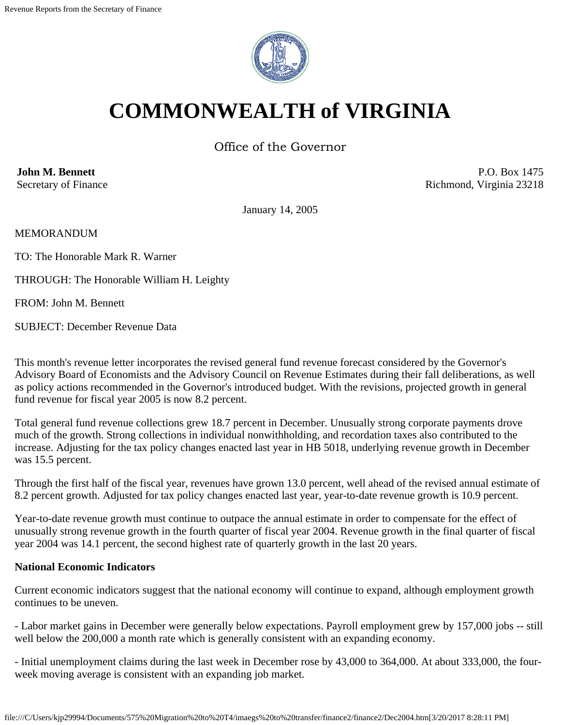

# **COMMONWEALTH of VIRGINIA**

Office of the Governor

**John M. Bennett** Secretary of Finance

P.O. Box 1475 Richmond, Virginia 23218

January 14, 2005

MEMORANDUM

TO: The Honorable Mark R. Warner

THROUGH: The Honorable William H. Leighty

FROM: John M. Bennett

SUBJECT: December Revenue Data

This month's revenue letter incorporates the revised general fund revenue forecast considered by the Governor's Advisory Board of Economists and the Advisory Council on Revenue Estimates during their fall deliberations, as well as policy actions recommended in the Governor's introduced budget. With the revisions, projected growth in general fund revenue for fiscal year 2005 is now 8.2 percent.

Total general fund revenue collections grew 18.7 percent in December. Unusually strong corporate payments drove much of the growth. Strong collections in individual nonwithholding, and recordation taxes also contributed to the increase. Adjusting for the tax policy changes enacted last year in HB 5018, underlying revenue growth in December was 15.5 percent.

Through the first half of the fiscal year, revenues have grown 13.0 percent, well ahead of the revised annual estimate of 8.2 percent growth. Adjusted for tax policy changes enacted last year, year-to-date revenue growth is 10.9 percent.

Year-to-date revenue growth must continue to outpace the annual estimate in order to compensate for the effect of unusually strong revenue growth in the fourth quarter of fiscal year 2004. Revenue growth in the final quarter of fiscal year 2004 was 14.1 percent, the second highest rate of quarterly growth in the last 20 years.

#### **National Economic Indicators**

Current economic indicators suggest that the national economy will continue to expand, although employment growth continues to be uneven.

- Labor market gains in December were generally below expectations. Payroll employment grew by 157,000 jobs -- still well below the 200,000 a month rate which is generally consistent with an expanding economy.

- Initial unemployment claims during the last week in December rose by 43,000 to 364,000. At about 333,000, the fourweek moving average is consistent with an expanding job market.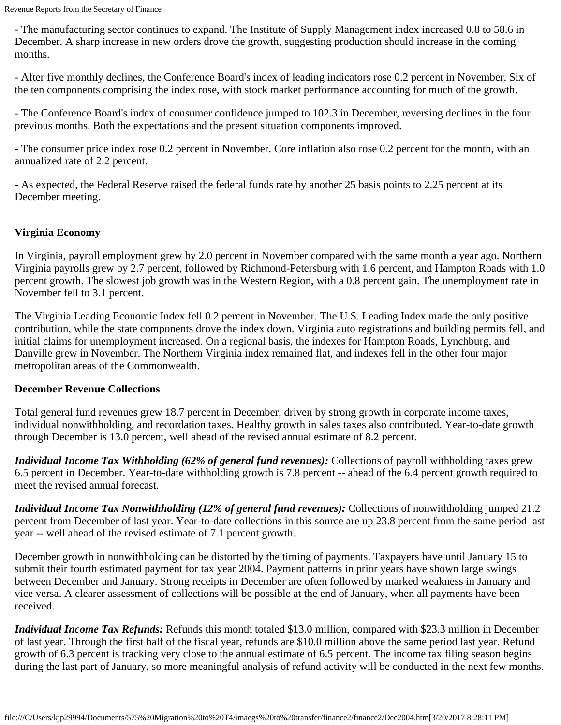- The manufacturing sector continues to expand. The Institute of Supply Management index increased 0.8 to 58.6 in December. A sharp increase in new orders drove the growth, suggesting production should increase in the coming months.

- After five monthly declines, the Conference Board's index of leading indicators rose 0.2 percent in November. Six of the ten components comprising the index rose, with stock market performance accounting for much of the growth.

- The Conference Board's index of consumer confidence jumped to 102.3 in December, reversing declines in the four previous months. Both the expectations and the present situation components improved.

- The consumer price index rose 0.2 percent in November. Core inflation also rose 0.2 percent for the month, with an annualized rate of 2.2 percent.

- As expected, the Federal Reserve raised the federal funds rate by another 25 basis points to 2.25 percent at its December meeting.

## **Virginia Economy**

In Virginia, payroll employment grew by 2.0 percent in November compared with the same month a year ago. Northern Virginia payrolls grew by 2.7 percent, followed by Richmond-Petersburg with 1.6 percent, and Hampton Roads with 1.0 percent growth. The slowest job growth was in the Western Region, with a 0.8 percent gain. The unemployment rate in November fell to 3.1 percent.

The Virginia Leading Economic Index fell 0.2 percent in November. The U.S. Leading Index made the only positive contribution, while the state components drove the index down. Virginia auto registrations and building permits fell, and initial claims for unemployment increased. On a regional basis, the indexes for Hampton Roads, Lynchburg, and Danville grew in November. The Northern Virginia index remained flat, and indexes fell in the other four major metropolitan areas of the Commonwealth.

## **December Revenue Collections**

Total general fund revenues grew 18.7 percent in December, driven by strong growth in corporate income taxes, individual nonwithholding, and recordation taxes. Healthy growth in sales taxes also contributed. Year-to-date growth through December is 13.0 percent, well ahead of the revised annual estimate of 8.2 percent.

*Individual Income Tax Withholding (62% of general fund revenues):* Collections of payroll withholding taxes grew 6.5 percent in December. Year-to-date withholding growth is 7.8 percent -- ahead of the 6.4 percent growth required to meet the revised annual forecast.

*Individual Income Tax Nonwithholding (12% of general fund revenues):* Collections of nonwithholding jumped 21.2 percent from December of last year. Year-to-date collections in this source are up 23.8 percent from the same period last year -- well ahead of the revised estimate of 7.1 percent growth.

December growth in nonwithholding can be distorted by the timing of payments. Taxpayers have until January 15 to submit their fourth estimated payment for tax year 2004. Payment patterns in prior years have shown large swings between December and January. Strong receipts in December are often followed by marked weakness in January and vice versa. A clearer assessment of collections will be possible at the end of January, when all payments have been received.

*Individual Income Tax Refunds:* Refunds this month totaled \$13.0 million, compared with \$23.3 million in December of last year. Through the first half of the fiscal year, refunds are \$10.0 million above the same period last year. Refund growth of 6.3 percent is tracking very close to the annual estimate of 6.5 percent. The income tax filing season begins during the last part of January, so more meaningful analysis of refund activity will be conducted in the next few months.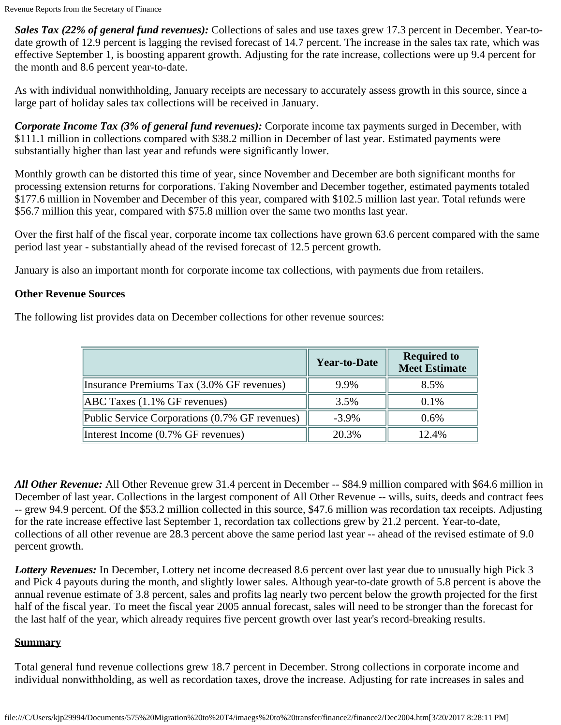*Sales Tax (22% of general fund revenues):* Collections of sales and use taxes grew 17.3 percent in December. Year-todate growth of 12.9 percent is lagging the revised forecast of 14.7 percent. The increase in the sales tax rate, which was effective September 1, is boosting apparent growth. Adjusting for the rate increase, collections were up 9.4 percent for the month and 8.6 percent year-to-date.

As with individual nonwithholding, January receipts are necessary to accurately assess growth in this source, since a large part of holiday sales tax collections will be received in January.

*Corporate Income Tax (3% of general fund revenues):* Corporate income tax payments surged in December, with \$111.1 million in collections compared with \$38.2 million in December of last year. Estimated payments were substantially higher than last year and refunds were significantly lower.

Monthly growth can be distorted this time of year, since November and December are both significant months for processing extension returns for corporations. Taking November and December together, estimated payments totaled \$177.6 million in November and December of this year, compared with \$102.5 million last year. Total refunds were \$56.7 million this year, compared with \$75.8 million over the same two months last year.

Over the first half of the fiscal year, corporate income tax collections have grown 63.6 percent compared with the same period last year - substantially ahead of the revised forecast of 12.5 percent growth.

January is also an important month for corporate income tax collections, with payments due from retailers.

### **Other Revenue Sources**

The following list provides data on December collections for other revenue sources:

|                                                | <b>Year-to-Date</b> | <b>Required to</b><br><b>Meet Estimate</b> |
|------------------------------------------------|---------------------|--------------------------------------------|
| Insurance Premiums Tax (3.0% GF revenues)      | 9.9%                | 8.5%                                       |
| ABC Taxes (1.1% GF revenues)                   | 3.5%                | $0.1\%$                                    |
| Public Service Corporations (0.7% GF revenues) | $-3.9\%$            | 0.6%                                       |
| Interest Income (0.7% GF revenues)             | 20.3%               | 12.4%                                      |

*All Other Revenue:* All Other Revenue grew 31.4 percent in December -- \$84.9 million compared with \$64.6 million in December of last year. Collections in the largest component of All Other Revenue -- wills, suits, deeds and contract fees -- grew 94.9 percent. Of the \$53.2 million collected in this source, \$47.6 million was recordation tax receipts. Adjusting for the rate increase effective last September 1, recordation tax collections grew by 21.2 percent. Year-to-date, collections of all other revenue are 28.3 percent above the same period last year -- ahead of the revised estimate of 9.0 percent growth.

*Lottery Revenues:* In December, Lottery net income decreased 8.6 percent over last year due to unusually high Pick 3 and Pick 4 payouts during the month, and slightly lower sales. Although year-to-date growth of 5.8 percent is above the annual revenue estimate of 3.8 percent, sales and profits lag nearly two percent below the growth projected for the first half of the fiscal year. To meet the fiscal year 2005 annual forecast, sales will need to be stronger than the forecast for the last half of the year, which already requires five percent growth over last year's record-breaking results.

#### **Summary**

Total general fund revenue collections grew 18.7 percent in December. Strong collections in corporate income and individual nonwithholding, as well as recordation taxes, drove the increase. Adjusting for rate increases in sales and